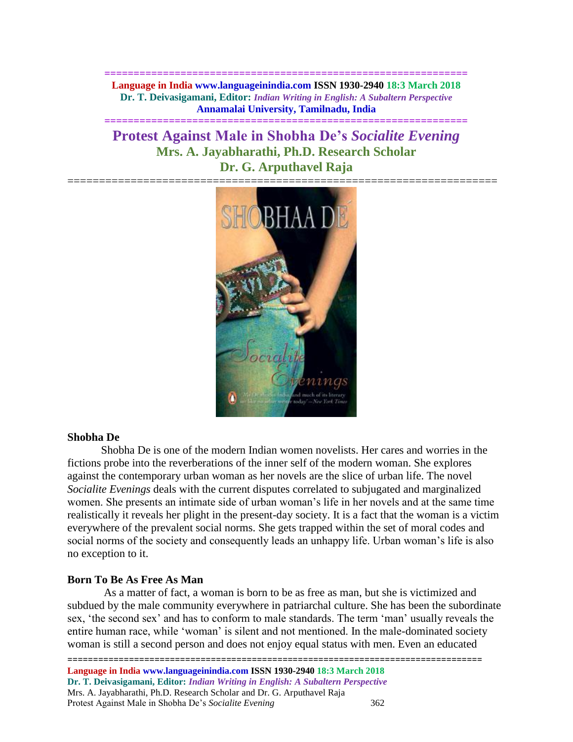**============================================================== Language in India www.languageinindia.com ISSN 1930-2940 18:3 March 2018 Dr. T. Deivasigamani, Editor:** *Indian Writing in English: A Subaltern Perspective* **Annamalai University, Tamilnadu, India**

**==============================================================**

# **Protest Against Male in Shobha De's** *Socialite Evening* **Mrs. A. Jayabharathi, Ph.D. Research Scholar Dr. G. Arputhavel Raja**



## **Shobha De**

Shobha De is one of the modern Indian women novelists. Her cares and worries in the fictions probe into the reverberations of the inner self of the modern woman. She explores against the contemporary urban woman as her novels are the slice of urban life. The novel *Socialite Evenings* deals with the current disputes correlated to subjugated and marginalized women. She presents an intimate side of urban woman's life in her novels and at the same time realistically it reveals her plight in the present-day society. It is a fact that the woman is a victim everywhere of the prevalent social norms. She gets trapped within the set of moral codes and social norms of the society and consequently leads an unhappy life. Urban woman's life is also no exception to it.

## **Born To Be As Free As Man**

As a matter of fact, a woman is born to be as free as man, but she is victimized and subdued by the male community everywhere in patriarchal culture. She has been the subordinate sex, 'the second sex' and has to conform to male standards. The term 'man' usually reveals the entire human race, while 'woman' is silent and not mentioned. In the male-dominated society woman is still a second person and does not enjoy equal status with men. Even an educated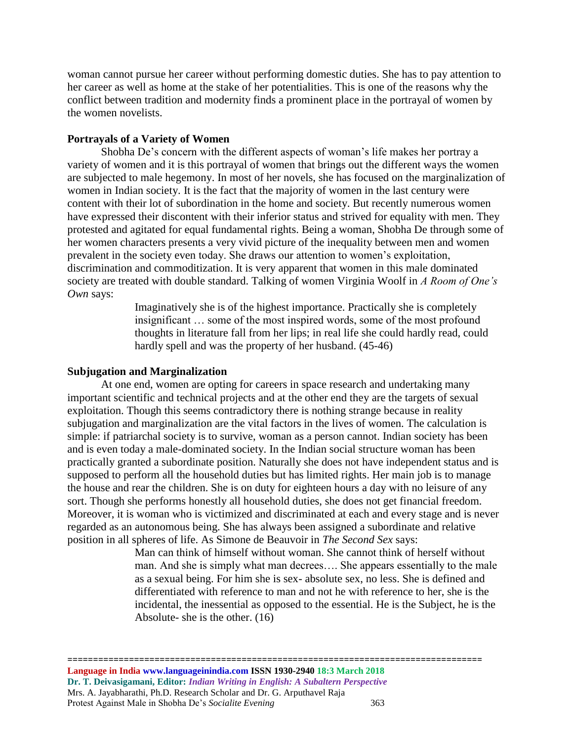woman cannot pursue her career without performing domestic duties. She has to pay attention to her career as well as home at the stake of her potentialities. This is one of the reasons why the conflict between tradition and modernity finds a prominent place in the portrayal of women by the women novelists.

## **Portrayals of a Variety of Women**

Shobha De's concern with the different aspects of woman's life makes her portray a variety of women and it is this portrayal of women that brings out the different ways the women are subjected to male hegemony. In most of her novels, she has focused on the marginalization of women in Indian society. It is the fact that the majority of women in the last century were content with their lot of subordination in the home and society. But recently numerous women have expressed their discontent with their inferior status and strived for equality with men. They protested and agitated for equal fundamental rights. Being a woman, Shobha De through some of her women characters presents a very vivid picture of the inequality between men and women prevalent in the society even today. She draws our attention to women's exploitation, discrimination and commoditization. It is very apparent that women in this male dominated society are treated with double standard. Talking of women Virginia Woolf in *A Room of One's Own* says:

> Imaginatively she is of the highest importance. Practically she is completely insignificant … some of the most inspired words, some of the most profound thoughts in literature fall from her lips; in real life she could hardly read, could hardly spell and was the property of her husband. (45-46)

#### **Subjugation and Marginalization**

At one end, women are opting for careers in space research and undertaking many important scientific and technical projects and at the other end they are the targets of sexual exploitation. Though this seems contradictory there is nothing strange because in reality subjugation and marginalization are the vital factors in the lives of women. The calculation is simple: if patriarchal society is to survive, woman as a person cannot. Indian society has been and is even today a male-dominated society. In the Indian social structure woman has been practically granted a subordinate position. Naturally she does not have independent status and is supposed to perform all the household duties but has limited rights. Her main job is to manage the house and rear the children. She is on duty for eighteen hours a day with no leisure of any sort. Though she performs honestly all household duties, she does not get financial freedom. Moreover, it is woman who is victimized and discriminated at each and every stage and is never regarded as an autonomous being. She has always been assigned a subordinate and relative position in all spheres of life. As Simone de Beauvoir in *The Second Sex* says:

> Man can think of himself without woman. She cannot think of herself without man. And she is simply what man decrees…. She appears essentially to the male as a sexual being. For him she is sex- absolute sex, no less. She is defined and differentiated with reference to man and not he with reference to her, she is the incidental, the inessential as opposed to the essential. He is the Subject, he is the Absolute- she is the other. (16)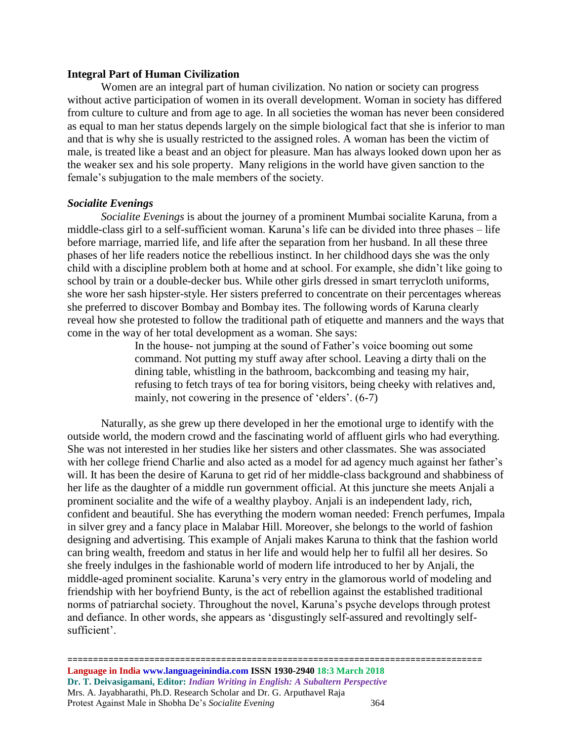### **Integral Part of Human Civilization**

Women are an integral part of human civilization. No nation or society can progress without active participation of women in its overall development. Woman in society has differed from culture to culture and from age to age. In all societies the woman has never been considered as equal to man her status depends largely on the simple biological fact that she is inferior to man and that is why she is usually restricted to the assigned roles. A woman has been the victim of male, is treated like a beast and an object for pleasure. Man has always looked down upon her as the weaker sex and his sole property. Many religions in the world have given sanction to the female's subjugation to the male members of the society.

#### *Socialite Evenings*

*Socialite Evenings* is about the journey of a prominent Mumbai socialite Karuna, from a middle-class girl to a self-sufficient woman. Karuna's life can be divided into three phases – life before marriage, married life, and life after the separation from her husband. In all these three phases of her life readers notice the rebellious instinct. In her childhood days she was the only child with a discipline problem both at home and at school. For example, she didn't like going to school by train or a double-decker bus. While other girls dressed in smart terrycloth uniforms, she wore her sash hipster-style. Her sisters preferred to concentrate on their percentages whereas she preferred to discover Bombay and Bombay ites. The following words of Karuna clearly reveal how she protested to follow the traditional path of etiquette and manners and the ways that come in the way of her total development as a woman. She says:

> In the house- not jumping at the sound of Father's voice booming out some command. Not putting my stuff away after school. Leaving a dirty thali on the dining table, whistling in the bathroom, backcombing and teasing my hair, refusing to fetch trays of tea for boring visitors, being cheeky with relatives and, mainly, not cowering in the presence of 'elders'. (6-7)

Naturally, as she grew up there developed in her the emotional urge to identify with the outside world, the modern crowd and the fascinating world of affluent girls who had everything. She was not interested in her studies like her sisters and other classmates. She was associated with her college friend Charlie and also acted as a model for ad agency much against her father's will. It has been the desire of Karuna to get rid of her middle-class background and shabbiness of her life as the daughter of a middle run government official. At this juncture she meets Anjali a prominent socialite and the wife of a wealthy playboy. Anjali is an independent lady, rich, confident and beautiful. She has everything the modern woman needed: French perfumes, Impala in silver grey and a fancy place in Malabar Hill. Moreover, she belongs to the world of fashion designing and advertising. This example of Anjali makes Karuna to think that the fashion world can bring wealth, freedom and status in her life and would help her to fulfil all her desires. So she freely indulges in the fashionable world of modern life introduced to her by Anjali, the middle-aged prominent socialite. Karuna's very entry in the glamorous world of modeling and friendship with her boyfriend Bunty, is the act of rebellion against the established traditional norms of patriarchal society. Throughout the novel, Karuna's psyche develops through protest and defiance. In other words, she appears as 'disgustingly self-assured and revoltingly selfsufficient'.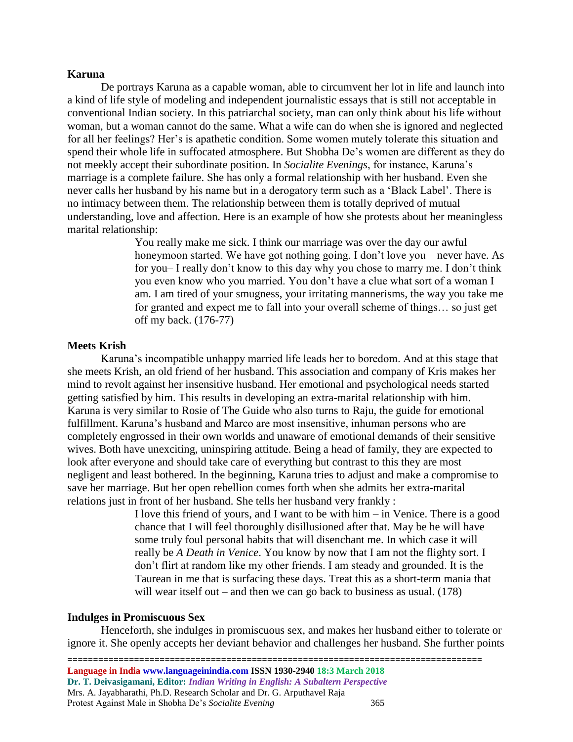#### **Karuna**

De portrays Karuna as a capable woman, able to circumvent her lot in life and launch into a kind of life style of modeling and independent journalistic essays that is still not acceptable in conventional Indian society. In this patriarchal society, man can only think about his life without woman, but a woman cannot do the same. What a wife can do when she is ignored and neglected for all her feelings? Her's is apathetic condition. Some women mutely tolerate this situation and spend their whole life in suffocated atmosphere. But Shobha De's women are different as they do not meekly accept their subordinate position. In *Socialite Evenings*, for instance, Karuna's marriage is a complete failure. She has only a formal relationship with her husband. Even she never calls her husband by his name but in a derogatory term such as a 'Black Label'. There is no intimacy between them. The relationship between them is totally deprived of mutual understanding, love and affection. Here is an example of how she protests about her meaningless marital relationship:

> You really make me sick. I think our marriage was over the day our awful honeymoon started. We have got nothing going. I don't love you – never have. As for you– I really don't know to this day why you chose to marry me. I don't think you even know who you married. You don't have a clue what sort of a woman I am. I am tired of your smugness, your irritating mannerisms, the way you take me for granted and expect me to fall into your overall scheme of things… so just get off my back. (176-77)

## **Meets Krish**

Karuna's incompatible unhappy married life leads her to boredom. And at this stage that she meets Krish, an old friend of her husband. This association and company of Kris makes her mind to revolt against her insensitive husband. Her emotional and psychological needs started getting satisfied by him. This results in developing an extra-marital relationship with him. Karuna is very similar to Rosie of The Guide who also turns to Raju, the guide for emotional fulfillment. Karuna's husband and Marco are most insensitive, inhuman persons who are completely engrossed in their own worlds and unaware of emotional demands of their sensitive wives. Both have unexciting, uninspiring attitude. Being a head of family, they are expected to look after everyone and should take care of everything but contrast to this they are most negligent and least bothered. In the beginning, Karuna tries to adjust and make a compromise to save her marriage. But her open rebellion comes forth when she admits her extra-marital relations just in front of her husband. She tells her husband very frankly :

> I love this friend of yours, and I want to be with him – in Venice. There is a good chance that I will feel thoroughly disillusioned after that. May be he will have some truly foul personal habits that will disenchant me. In which case it will really be *A Death in Venice*. You know by now that I am not the flighty sort. I don't flirt at random like my other friends. I am steady and grounded. It is the Taurean in me that is surfacing these days. Treat this as a short-term mania that will wear itself out – and then we can go back to business as usual. (178)

#### **Indulges in Promiscuous Sex**

Henceforth, she indulges in promiscuous sex, and makes her husband either to tolerate or ignore it. She openly accepts her deviant behavior and challenges her husband. She further points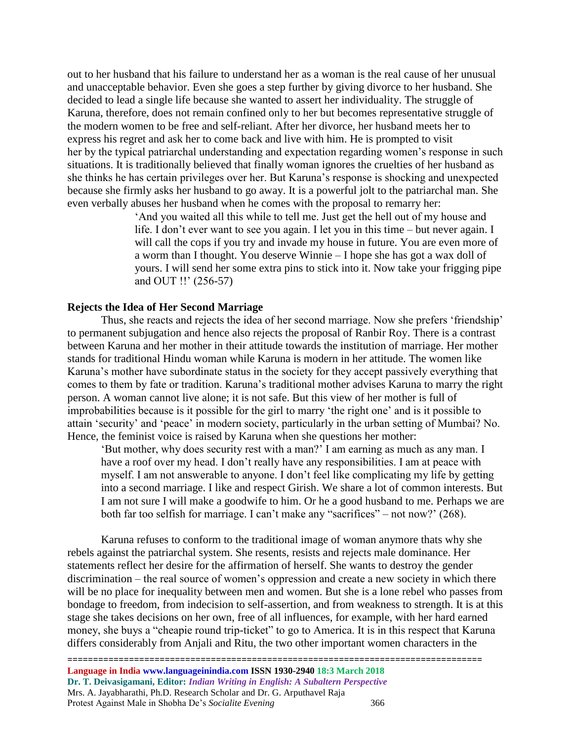out to her husband that his failure to understand her as a woman is the real cause of her unusual and unacceptable behavior. Even she goes a step further by giving divorce to her husband. She decided to lead a single life because she wanted to assert her individuality. The struggle of Karuna, therefore, does not remain confined only to her but becomes representative struggle of the modern women to be free and self-reliant. After her divorce, her husband meets her to express his regret and ask her to come back and live with him. He is prompted to visit her by the typical patriarchal understanding and expectation regarding women's response in such situations. It is traditionally believed that finally woman ignores the cruelties of her husband as she thinks he has certain privileges over her. But Karuna's response is shocking and unexpected because she firmly asks her husband to go away. It is a powerful jolt to the patriarchal man. She even verbally abuses her husband when he comes with the proposal to remarry her:

> 'And you waited all this while to tell me. Just get the hell out of my house and life. I don't ever want to see you again. I let you in this time – but never again. I will call the cops if you try and invade my house in future. You are even more of a worm than I thought. You deserve Winnie – I hope she has got a wax doll of yours. I will send her some extra pins to stick into it. Now take your frigging pipe and OUT !!' (256-57)

#### **Rejects the Idea of Her Second Marriage**

Thus, she reacts and rejects the idea of her second marriage. Now she prefers 'friendship' to permanent subjugation and hence also rejects the proposal of Ranbir Roy. There is a contrast between Karuna and her mother in their attitude towards the institution of marriage. Her mother stands for traditional Hindu woman while Karuna is modern in her attitude. The women like Karuna's mother have subordinate status in the society for they accept passively everything that comes to them by fate or tradition. Karuna's traditional mother advises Karuna to marry the right person. A woman cannot live alone; it is not safe. But this view of her mother is full of improbabilities because is it possible for the girl to marry 'the right one' and is it possible to attain 'security' and 'peace' in modern society, particularly in the urban setting of Mumbai? No. Hence, the feminist voice is raised by Karuna when she questions her mother:

'But mother, why does security rest with a man?' I am earning as much as any man. I have a roof over my head. I don't really have any responsibilities. I am at peace with myself. I am not answerable to anyone. I don't feel like complicating my life by getting into a second marriage. I like and respect Girish. We share a lot of common interests. But I am not sure I will make a goodwife to him. Or he a good husband to me. Perhaps we are both far too selfish for marriage. I can't make any "sacrifices" – not now?' (268).

Karuna refuses to conform to the traditional image of woman anymore thats why she rebels against the patriarchal system. She resents, resists and rejects male dominance. Her statements reflect her desire for the affirmation of herself. She wants to destroy the gender discrimination – the real source of women's oppression and create a new society in which there will be no place for inequality between men and women. But she is a lone rebel who passes from bondage to freedom, from indecision to self-assertion, and from weakness to strength. It is at this stage she takes decisions on her own, free of all influences, for example, with her hard earned money, she buys a "cheapie round trip-ticket" to go to America. It is in this respect that Karuna differs considerably from Anjali and Ritu, the two other important women characters in the